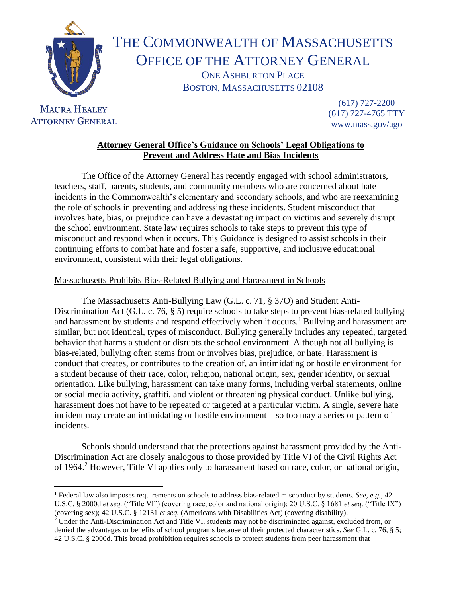

# THE COMMONWEALTH OF MASSACHUSETTS OFFICE OF THE ATTORNEY GENERAL ONE ASHBURTON PLACE BOSTON, MASSACHUSETTS 02108

## **MAURA HEALEY ATTORNEY GENERAL**

(617) 727-2200 (617) 727-4765 TTY www.mass.gov/ago

## **Attorney General Office's Guidance on Schools' Legal Obligations to Prevent and Address Hate and Bias Incidents**

The Office of the Attorney General has recently engaged with school administrators, teachers, staff, parents, students, and community members who are concerned about hate incidents in the Commonwealth's elementary and secondary schools, and who are reexamining the role of schools in preventing and addressing these incidents. Student misconduct that involves hate, bias, or prejudice can have a devastating impact on victims and severely disrupt the school environment. State law requires schools to take steps to prevent this type of misconduct and respond when it occurs. This Guidance is designed to assist schools in their continuing efforts to combat hate and foster a safe, supportive, and inclusive educational environment, consistent with their legal obligations.

### Massachusetts Prohibits Bias-Related Bullying and Harassment in Schools

The Massachusetts Anti-Bullying Law (G.L. c. 71, § 37O) and Student Anti-Discrimination Act (G.L. c. 76, § 5) require schools to take steps to prevent bias-related bullying and harassment by students and respond effectively when it occurs.<sup>1</sup> Bullying and harassment are similar, but not identical, types of misconduct. Bullying generally includes any repeated, targeted behavior that harms a student or disrupts the school environment. Although not all bullying is bias-related, bullying often stems from or involves bias, prejudice, or hate. Harassment is conduct that creates, or contributes to the creation of, an intimidating or hostile environment for a student because of their race, color, religion, national origin, sex, gender identity, or sexual orientation. Like bullying, harassment can take many forms, including verbal statements, online or social media activity, graffiti, and violent or threatening physical conduct. Unlike bullying, harassment does not have to be repeated or targeted at a particular victim. A single, severe hate incident may create an intimidating or hostile environment—so too may a series or pattern of incidents.

Schools should understand that the protections against harassment provided by the Anti-Discrimination Act are closely analogous to those provided by Title VI of the Civil Rights Act of 1964.<sup>2</sup> However, Title VI applies only to harassment based on race, color, or national origin,

<sup>1</sup> Federal law also imposes requirements on schools to address bias-related misconduct by students. *See, e.g.,* 42 U.S.C. § 2000d *et seq.* ("Title VI") (covering race, color and national origin); 20 U.S.C. § 1681 *et seq*. ("Title IX") (covering sex); 42 U.S.C. § 12131 *et seq.* (Americans with Disabilities Act) (covering disability).

<sup>2</sup> Under the Anti-Discrimination Act and Title VI, students may not be discriminated against, excluded from, or denied the advantages or benefits of school programs because of their protected characteristics. *See* G.L. c. 76, § 5; 42 U.S.C. § 2000d. This broad prohibition requires schools to protect students from peer harassment that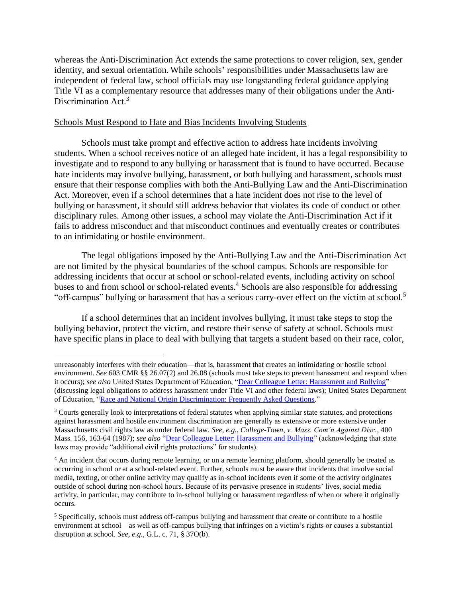whereas the Anti-Discrimination Act extends the same protections to cover religion, sex, gender identity, and sexual orientation. While schools' responsibilities under Massachusetts law are independent of federal law, school officials may use longstanding federal guidance applying Title VI as a complementary resource that addresses many of their obligations under the Anti-Discrimination Act.<sup>3</sup>

#### Schools Must Respond to Hate and Bias Incidents Involving Students

Schools must take prompt and effective action to address hate incidents involving students. When a school receives notice of an alleged hate incident, it has a legal responsibility to investigate and to respond to any bullying or harassment that is found to have occurred. Because hate incidents may involve bullying, harassment, or both bullying and harassment, schools must ensure that their response complies with both the Anti-Bullying Law and the Anti-Discrimination Act. Moreover, even if a school determines that a hate incident does not rise to the level of bullying or harassment, it should still address behavior that violates its code of conduct or other disciplinary rules. Among other issues, a school may violate the Anti-Discrimination Act if it fails to address misconduct and that misconduct continues and eventually creates or contributes to an intimidating or hostile environment.

The legal obligations imposed by the Anti-Bullying Law and the Anti-Discrimination Act are not limited by the physical boundaries of the school campus. Schools are responsible for addressing incidents that occur at school or school-related events, including activity on school buses to and from school or school-related events. <sup>4</sup> Schools are also responsible for addressing "off-campus" bullying or harassment that has a serious carry-over effect on the victim at school.<sup>5</sup>

If a school determines that an incident involves bullying, it must take steps to stop the bullying behavior, protect the victim, and restore their sense of safety at school. Schools must have specific plans in place to deal with bullying that targets a student based on their race, color,

unreasonably interferes with their education—that is, harassment that creates an intimidating or hostile school environment. *See* 603 CMR §§ 26.07(2) and 26.08 (schools must take steps to prevent harassment and respond when it occurs); see also United States Department of Education, ["Dear Colleague Letter: Harassment and Bullying"](https://www2.ed.gov/about/offices/list/ocr/letters/colleague-201010.html) (discussing legal obligations to address harassment under Title VI and other federal laws); United States Department of Education, ["Race and National Origin Discrimination: Frequently Asked Questions.](https://www2.ed.gov/about/offices/list/ocr/frontpage/faq/race-origin.html)"

<sup>&</sup>lt;sup>3</sup> Courts generally look to interpretations of federal statutes when applying similar state statutes, and protections against harassment and hostile environment discrimination are generally as extensive or more extensive under Massachusetts civil rights law as under federal law. *See, e.g.*, *College-Town*, *v. Mass. Com'n Against Disc.*, 400 Mass. 156, 163-64 (1987); *see also* ["Dear Colleague Letter: Harassment and Bullying"](https://www2.ed.gov/about/offices/list/ocr/letters/colleague-201010.html) (acknowledging that state laws may provide "additional civil rights protections" for students).

<sup>&</sup>lt;sup>4</sup> An incident that occurs during remote learning, or on a remote learning platform, should generally be treated as occurring in school or at a school-related event. Further, schools must be aware that incidents that involve social media, texting, or other online activity may qualify as in-school incidents even if some of the activity originates outside of school during non-school hours. Because of its pervasive presence in students' lives, social media activity, in particular, may contribute to in-school bullying or harassment regardless of when or where it originally occurs.

<sup>5</sup> Specifically, schools must address off-campus bullying and harassment that create or contribute to a hostile environment at school—as well as off-campus bullying that infringes on a victim's rights or causes a substantial disruption at school. *See, e.g.,* G.L. c. 71, § 37O(b).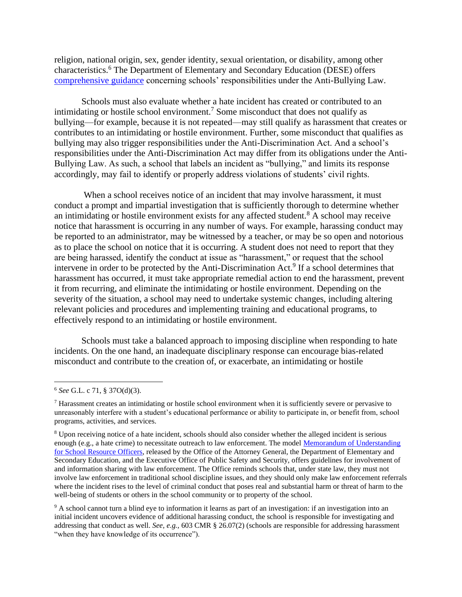religion, national origin, sex, gender identity, sexual orientation, or disability, among other characteristics.<sup>6</sup> The Department of Elementary and Secondary Education (DESE) offers [comprehensive guidance](http://www.doe.mass.edu/sfs/bullying/) concerning schools' responsibilities under the Anti-Bullying Law.

Schools must also evaluate whether a hate incident has created or contributed to an intimidating or hostile school environment.<sup>7</sup> Some misconduct that does not qualify as bullying—for example, because it is not repeated—may still qualify as harassment that creates or contributes to an intimidating or hostile environment. Further, some misconduct that qualifies as bullying may also trigger responsibilities under the Anti-Discrimination Act. And a school's responsibilities under the Anti-Discrimination Act may differ from its obligations under the Anti-Bullying Law. As such, a school that labels an incident as "bullying," and limits its response accordingly, may fail to identify or properly address violations of students' civil rights.

When a school receives notice of an incident that may involve harassment, it must conduct a prompt and impartial investigation that is sufficiently thorough to determine whether an intimidating or hostile environment exists for any affected student.<sup>8</sup> A school may receive notice that harassment is occurring in any number of ways. For example, harassing conduct may be reported to an administrator, may be witnessed by a teacher, or may be so open and notorious as to place the school on notice that it is occurring. A student does not need to report that they are being harassed, identify the conduct at issue as "harassment," or request that the school intervene in order to be protected by the Anti-Discrimination Act.<sup>9</sup> If a school determines that harassment has occurred, it must take appropriate remedial action to end the harassment, prevent it from recurring, and eliminate the intimidating or hostile environment. Depending on the severity of the situation, a school may need to undertake systemic changes, including altering relevant policies and procedures and implementing training and educational programs, to effectively respond to an intimidating or hostile environment.

Schools must take a balanced approach to imposing discipline when responding to hate incidents. On the one hand, an inadequate disciplinary response can encourage bias-related misconduct and contribute to the creation of, or exacerbate, an intimidating or hostile

<sup>6</sup> *See* G.L. c 71, § 37O(d)(3).

 $<sup>7</sup>$  Harassment creates an intimidating or hostile school environment when it is sufficiently severe or pervasive to</sup> unreasonably interfere with a student's educational performance or ability to participate in, or benefit from, school programs, activities, and services.

<sup>8</sup> Upon receiving notice of a hate incident, schools should also consider whether the alleged incident is serious enough (e.g., a hate crime) to necessitate outreach to law enforcement. The model Memorandum of Understanding [for School Resource Officers,](https://www.mass.gov/service-details/learn-about-the-model-memorandum-of-understanding-for-schools-and-police) released by the Office of the Attorney General, the Department of Elementary and Secondary Education, and the Executive Office of Public Safety and Security, offers guidelines for involvement of and information sharing with law enforcement. The Office reminds schools that, under state law, they must not involve law enforcement in traditional school discipline issues, and they should only make law enforcement referrals where the incident rises to the level of criminal conduct that poses real and substantial harm or threat of harm to the well-being of students or others in the school community or to property of the school.

<sup>9</sup> A school cannot turn a blind eye to information it learns as part of an investigation: if an investigation into an initial incident uncovers evidence of additional harassing conduct, the school is responsible for investigating and addressing that conduct as well. *See, e.g.,* 603 CMR § 26.07(2) (schools are responsible for addressing harassment "when they have knowledge of its occurrence").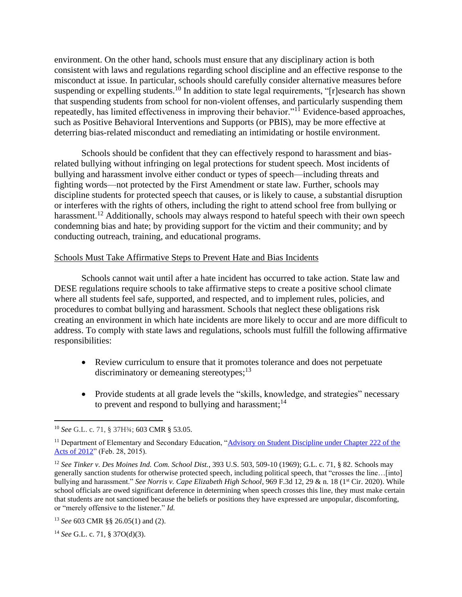environment. On the other hand, schools must ensure that any disciplinary action is both consistent with laws and regulations regarding school discipline and an effective response to the misconduct at issue. In particular, schools should carefully consider alternative measures before suspending or expelling students.<sup>10</sup> In addition to state legal requirements, "[r]esearch has shown that suspending students from school for non-violent offenses, and particularly suspending them repeatedly, has limited effectiveness in improving their behavior."<sup>11</sup> Evidence-based approaches, such as Positive Behavioral Interventions and Supports (or PBIS), may be more effective at deterring bias-related misconduct and remediating an intimidating or hostile environment.

Schools should be confident that they can effectively respond to harassment and biasrelated bullying without infringing on legal protections for student speech. Most incidents of bullying and harassment involve either conduct or types of speech—including threats and fighting words—not protected by the First Amendment or state law. Further, schools may discipline students for protected speech that causes, or is likely to cause, a substantial disruption or interferes with the rights of others, including the right to attend school free from bullying or harassment.<sup>12</sup> Additionally, schools may always respond to hateful speech with their own speech condemning bias and hate; by providing support for the victim and their community; and by conducting outreach, training, and educational programs.

#### Schools Must Take Affirmative Steps to Prevent Hate and Bias Incidents

Schools cannot wait until after a hate incident has occurred to take action. State law and DESE regulations require schools to take affirmative steps to create a positive school climate where all students feel safe, supported, and respected, and to implement rules, policies, and procedures to combat bullying and harassment. Schools that neglect these obligations risk creating an environment in which hate incidents are more likely to occur and are more difficult to address. To comply with state laws and regulations, schools must fulfill the following affirmative responsibilities:

- Review curriculum to ensure that it promotes tolerance and does not perpetuate discriminatory or demeaning stereotypes;<sup>13</sup>
- Provide students at all grade levels the "skills, knowledge, and strategies" necessary to prevent and respond to bullying and harassment;<sup>14</sup>

<sup>10</sup> *See* G.L. c. 71, § 37H¾; 603 CMR § 53.05.

<sup>&</sup>lt;sup>11</sup> Department of Elementary and Secondary Education, "Advisory on Student Discipline under Chapter 222 of the [Acts of 2012"](https://www.doe.mass.edu/lawsregs/advisory/discipline/StudentDiscipline.html#:~:text=Chapter%20222%20of%20the%20Acts%20of%202012%20(Chapter%20222)%2C,student%20discipline%20in%2020%20years.&text=Its%20primary%20objectives%20are%3A,student%20misconduct%20subject%20to%20G.L.) (Feb. 28, 2015).

<sup>12</sup> *See Tinker v. Des Moines Ind. Com. School Dist.*, 393 U.S. 503, 509-10 (1969); G.L. c. 71, § 82. Schools may generally sanction students for otherwise protected speech, including political speech, that "crosses the line…[into] bullying and harassment." *See Norris v. Cape Elizabeth High School*, 969 F.3d 12, 29 & n. 18 (1<sup>st</sup> Cir. 2020). While school officials are owed significant deference in determining when speech crosses this line, they must make certain that students are not sanctioned because the beliefs or positions they have expressed are unpopular, discomforting, or "merely offensive to the listener." *Id.*

<sup>13</sup> *See* 603 CMR §§ 26.05(1) and (2).

<sup>14</sup> *See* G.L. c. 71, § 37O(d)(3).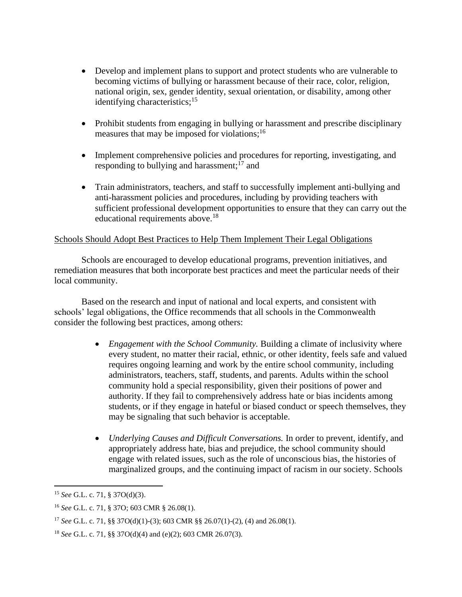- Develop and implement plans to support and protect students who are vulnerable to becoming victims of bullying or harassment because of their race, color, religion, national origin, sex, gender identity, sexual orientation, or disability, among other identifying characteristics;<sup>15</sup>
- Prohibit students from engaging in bullying or harassment and prescribe disciplinary measures that may be imposed for violations;<sup>16</sup>
- Implement comprehensive policies and procedures for reporting, investigating, and responding to bullying and harassment;<sup>17</sup> and
- Train administrators, teachers, and staff to successfully implement anti-bullying and anti-harassment policies and procedures, including by providing teachers with sufficient professional development opportunities to ensure that they can carry out the educational requirements above.<sup>18</sup>

#### Schools Should Adopt Best Practices to Help Them Implement Their Legal Obligations

Schools are encouraged to develop educational programs, prevention initiatives, and remediation measures that both incorporate best practices and meet the particular needs of their local community.

Based on the research and input of national and local experts, and consistent with schools' legal obligations, the Office recommends that all schools in the Commonwealth consider the following best practices, among others:

- *Engagement with the School Community.* Building a climate of inclusivity where every student, no matter their racial, ethnic, or other identity, feels safe and valued requires ongoing learning and work by the entire school community, including administrators, teachers, staff, students, and parents. Adults within the school community hold a special responsibility, given their positions of power and authority. If they fail to comprehensively address hate or bias incidents among students, or if they engage in hateful or biased conduct or speech themselves, they may be signaling that such behavior is acceptable.
- *Underlying Causes and Difficult Conversations.* In order to prevent, identify, and appropriately address hate, bias and prejudice, the school community should engage with related issues, such as the role of unconscious bias, the histories of marginalized groups, and the continuing impact of racism in our society. Schools

<sup>15</sup> *See* G.L. c. 71, § 37O(d)(3).

<sup>16</sup> *See* G.L. c. 71, § 37O; 603 CMR § 26.08(1).

<sup>17</sup> *See* G.L. c. 71, §§ 37O(d)(1)-(3); 603 CMR §§ 26.07(1)-(2), (4) and 26.08(1).

<sup>18</sup> *See* G.L. c. 71, §§ 37O(d)(4) and (e)(2); 603 CMR 26.07(3).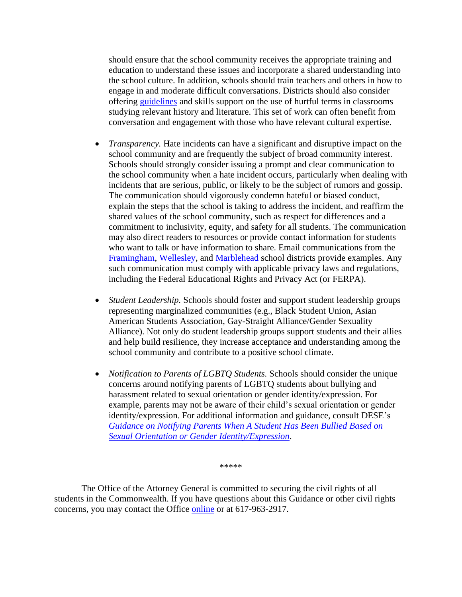should ensure that the school community receives the appropriate training and education to understand these issues and incorporate a shared understanding into the school culture. In addition, schools should train teachers and others in how to engage in and moderate difficult conversations. Districts should also consider offering [guidelines](https://www.mass.gov/doc/guidelines-for-the-use-of-offensive-terms-in-the-classroom/download) and skills support on the use of hurtful terms in classrooms studying relevant history and literature. This set of work can often benefit from conversation and engagement with those who have relevant cultural expertise.

- *Transparency.* Hate incidents can have a significant and disruptive impact on the school community and are frequently the subject of broad community interest. Schools should strongly consider issuing a prompt and clear communication to the school community when a hate incident occurs, particularly when dealing with incidents that are serious, public, or likely to be the subject of rumors and gossip. The communication should vigorously condemn hateful or biased conduct, explain the steps that the school is taking to address the incident, and reaffirm the shared values of the school community, such as respect for differences and a commitment to inclusivity, equity, and safety for all students. The communication may also direct readers to resources or provide contact information for students who want to talk or have information to share. Email communications from the [Framingham,](https://www.framingham.k12.ma.us/site/default.aspx?PageType=3&DomainID=4&ModuleInstanceID=2889&ViewID=6446EE88-D30C-497E-9316-3F8874B3E108&RenderLoc=0&FlexDataID=7181&PageID=1&fbclid=IwAR1IEMOW1Ff-Fd-NPni2_JFphAiRzefgFQ1Tbur_CE56-xoc4jaTMww-yxM) [Wellesley,](https://theswellesleyreport.com/2019/10/wellesley-schools-grapple-with-bathroom-swastika-athlete-called-racial-slur/) and [Marblehead](https://marblehead.wickedlocal.com/news/20200107/task-force-proposed-after-transgender-student-bullied) school districts provide examples. Any such communication must comply with applicable privacy laws and regulations, including the Federal Educational Rights and Privacy Act (or FERPA).
- *Student Leadership.* Schools should foster and support student leadership groups representing marginalized communities (e.g., Black Student Union, Asian American Students Association, Gay-Straight Alliance/Gender Sexuality Alliance). Not only do student leadership groups support students and their allies and help build resilience, they increase acceptance and understanding among the school community and contribute to a positive school climate.
- *Notification to Parents of LGBTQ Students.* Schools should consider the unique concerns around notifying parents of LGBTQ students about bullying and harassment related to sexual orientation or gender identity/expression. For example, parents may not be aware of their child's sexual orientation or gender identity/expression. For additional information and guidance, consult DESE's *[Guidance on Notifying Parents When A Student Has Been Bullied](http://www.doe.mass.edu/sfs/bullying/PNguidance.html) Based on [Sexual Orientation or Gender Identity/Expression](http://www.doe.mass.edu/sfs/bullying/PNguidance.html)*.

\*\*\*\*\*

The Office of the Attorney General is committed to securing the civil rights of all students in the Commonwealth. If you have questions about this Guidance or other civil rights concerns, you may contact the Office [online](https://www.mass.gov/how-to/file-a-civil-rights-complaint) or at 617-963-2917.